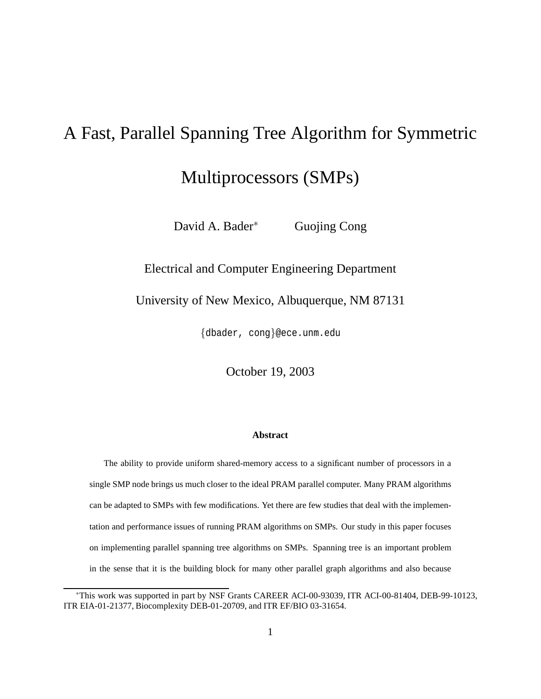# A Fast, Parallel Spanning Tree Algorithm for Symmetric

## Multiprocessors (SMPs)

David A. Bader<sup>∗</sup> Guojing Cong

#### Electrical and Computer Engineering Department

University of New Mexico, Albuquerque, NM 87131

{dbader, cong}@ece.unm.edu

October 19, 2003

#### **Abstract**

The ability to provide uniform shared-memory access to a significant number of processors in a single SMP node brings us much closer to the ideal PRAM parallel computer. Many PRAM algorithms can be adapted to SMPs with few modifications. Yet there are few studies that deal with the implementation and performance issues of running PRAM algorithms on SMPs. Our study in this paper focuses on implementing parallel spanning tree algorithms on SMPs. Spanning tree is an important problem in the sense that it is the building block for many other parallel graph algorithms and also because

<sup>∗</sup>This work was supported in part by NSF Grants CAREER ACI-00-93039, ITR ACI-00-81404, DEB-99-10123, ITR EIA-01-21377, Biocomplexity DEB-01-20709, and ITR EF/BIO 03-31654.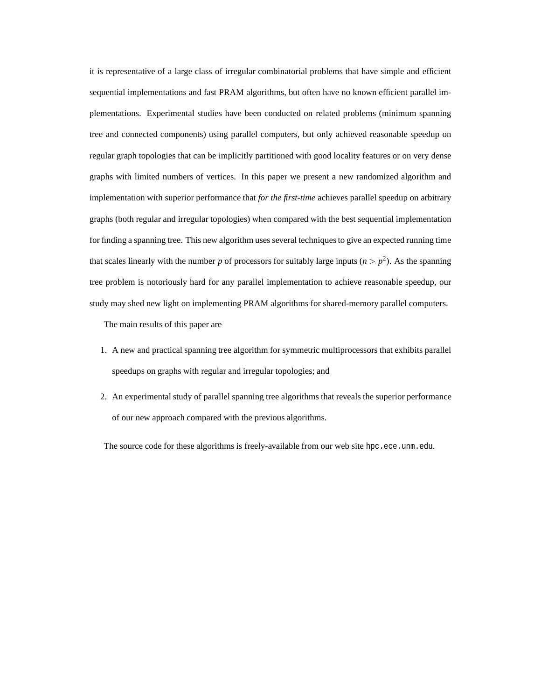it is representative of a large class of irregular combinatorial problems that have simple and efficient sequential implementations and fast PRAM algorithms, but often have no known efficient parallel implementations. Experimental studies have been conducted on related problems (minimum spanning tree and connected components) using parallel computers, but only achieved reasonable speedup on regular graph topologies that can be implicitly partitioned with good locality features or on very dense graphs with limited numbers of vertices. In this paper we present a new randomized algorithm and implementation with superior performance that *for the first-time* achieves parallel speedup on arbitrary graphs (both regular and irregular topologies) when compared with the best sequential implementation for finding a spanning tree. This new algorithm uses several techniques to give an expected running time that scales linearly with the number *p* of processors for suitably large inputs  $(n > p<sup>2</sup>)$ . As the spanning tree problem is notoriously hard for any parallel implementation to achieve reasonable speedup, our study may shed new light on implementing PRAM algorithms for shared-memory parallel computers.

The main results of this paper are

- 1. A new and practical spanning tree algorithm for symmetric multiprocessors that exhibits parallel speedups on graphs with regular and irregular topologies; and
- 2. An experimental study of parallel spanning tree algorithms that reveals the superior performance of our new approach compared with the previous algorithms.

The source code for these algorithms is freely-available from our web site hpc.ece.unm.edu.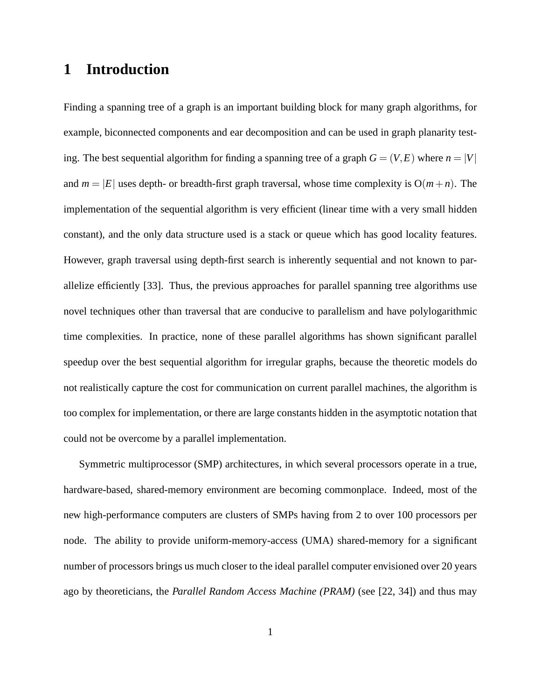## **1 Introduction**

Finding a spanning tree of a graph is an important building block for many graph algorithms, for example, biconnected components and ear decomposition and can be used in graph planarity testing. The best sequential algorithm for finding a spanning tree of a graph  $G = (V, E)$  where  $n = |V|$ and  $m = |E|$  uses depth- or breadth-first graph traversal, whose time complexity is  $O(m+n)$ . The implementation of the sequential algorithm is very efficient (linear time with a very small hidden constant), and the only data structure used is a stack or queue which has good locality features. However, graph traversal using depth-first search is inherently sequential and not known to parallelize efficiently [33]. Thus, the previous approaches for parallel spanning tree algorithms use novel techniques other than traversal that are conducive to parallelism and have polylogarithmic time complexities. In practice, none of these parallel algorithms has shown significant parallel speedup over the best sequential algorithm for irregular graphs, because the theoretic models do not realistically capture the cost for communication on current parallel machines, the algorithm is too complex for implementation, or there are large constants hidden in the asymptotic notation that could not be overcome by a parallel implementation.

Symmetric multiprocessor (SMP) architectures, in which several processors operate in a true, hardware-based, shared-memory environment are becoming commonplace. Indeed, most of the new high-performance computers are clusters of SMPs having from 2 to over 100 processors per node. The ability to provide uniform-memory-access (UMA) shared-memory for a significant number of processors brings us much closer to the ideal parallel computer envisioned over 20 years ago by theoreticians, the *Parallel Random Access Machine (PRAM)* (see [22, 34]) and thus may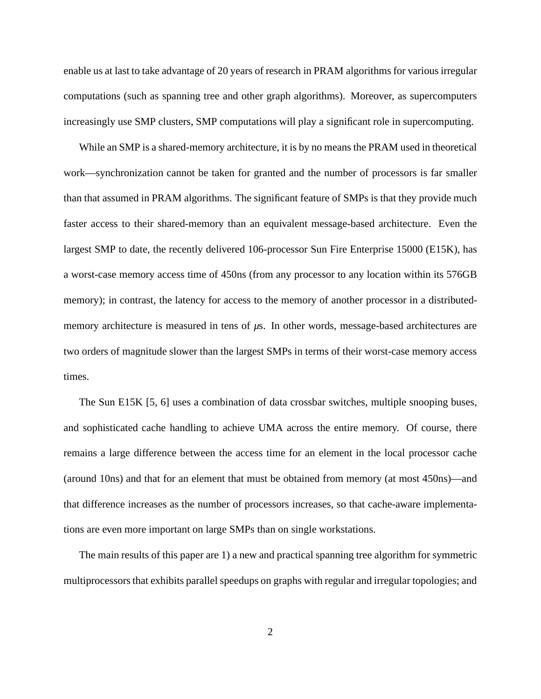enable us at last to take advantage of 20 years of research in PRAM algorithms for various irregular computations (such as spanning tree and other graph algorithms). Moreover, as supercomputers increasingly use SMP clusters, SMP computations will play a significant role in supercomputing.

While an SMP is a shared-memory architecture, it is by no means the PRAM used in theoretical work—synchronization cannot be taken for granted and the number of processors is far smaller than that assumed in PRAM algorithms. The significant feature of SMPs is that they provide much faster access to their shared-memory than an equivalent message-based architecture. Even the largest SMP to date, the recently delivered 106-processor Sun Fire Enterprise 15000 (E15K), has a worst-case memory access time of 450ns (from any processor to any location within its 576GB memory); in contrast, the latency for access to the memory of another processor in a distributedmemory architecture is measured in tens of *µ*s. In other words, message-based architectures are two orders of magnitude slower than the largest SMPs in terms of their worst-case memory access times.

The Sun E15K [5, 6] uses a combination of data crossbar switches, multiple snooping buses, and sophisticated cache handling to achieve UMA across the entire memory. Of course, there remains a large difference between the access time for an element in the local processor cache (around 10ns) and that for an element that must be obtained from memory (at most 450ns)—and that difference increases as the number of processors increases, so that cache-aware implementations are even more important on large SMPs than on single workstations.

The main results of this paper are 1) a new and practical spanning tree algorithm for symmetric multiprocessors that exhibits parallel speedups on graphs with regular and irregular topologies; and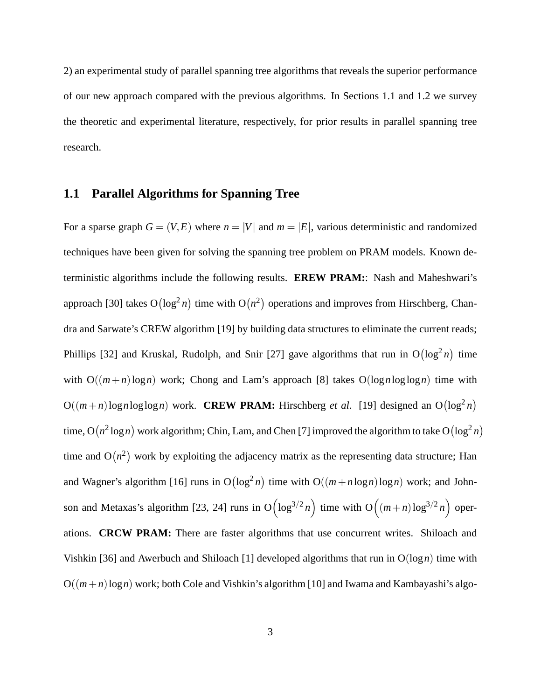2) an experimental study of parallel spanning tree algorithms that reveals the superior performance of our new approach compared with the previous algorithms. In Sections 1.1 and 1.2 we survey the theoretic and experimental literature, respectively, for prior results in parallel spanning tree research.

#### **1.1 Parallel Algorithms for Spanning Tree**

For a sparse graph  $G = (V, E)$  where  $n = |V|$  and  $m = |E|$ , various deterministic and randomized techniques have been given for solving the spanning tree problem on PRAM models. Known deterministic algorithms include the following results. **EREW PRAM:**: Nash and Maheshwari's approach [30] takes  $O(log^2 n)$  time with  $O(n^2)$  operations and improves from Hirschberg, Chandra and Sarwate's CREW algorithm [19] by building data structures to eliminate the current reads; Phillips [32] and Kruskal, Rudolph, and Snir [27] gave algorithms that run in  $O(log^2 n)$  time with  $O((m+n)\log n)$  work; Chong and Lam's approach [8] takes  $O(log n \log log n)$  time with  $O((m+n) \log n \log \log n)$  work. **CREW PRAM:** Hirschberg *et al.* [19] designed an  $O(\log^2 n)$ time,  $O(n^2 \log n)$  work algorithm; Chin, Lam, and Chen [7] improved the algorithm to take  $O(\log^2 n)$ time and  $O(n^2)$  work by exploiting the adjacency matrix as the representing data structure; Han and Wagner's algorithm [16] runs in  $O(log^2 n)$  time with  $O((m+n \log n) \log n)$  work; and Johnson and Metaxas's algorithm [23, 24] runs in  $O(ng^{3/2}n)$  time with  $O((m+n)\log^{3/2}n)$  operations. **CRCW PRAM:** There are faster algorithms that use concurrent writes. Shiloach and Vishkin [36] and Awerbuch and Shiloach [1] developed algorithms that run in O(log*n*) time with  $O((m+n)\log n)$  work; both Cole and Vishkin's algorithm [10] and Iwama and Kambayashi's algo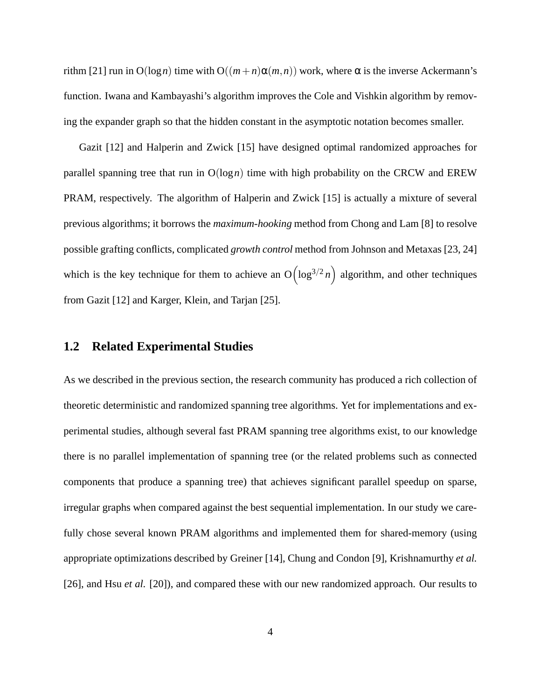rithm [21] run in O(log*n*) time with  $O((m+n)α(m,n))$  work, where α is the inverse Ackermann's function. Iwana and Kambayashi's algorithm improves the Cole and Vishkin algorithm by removing the expander graph so that the hidden constant in the asymptotic notation becomes smaller.

Gazit [12] and Halperin and Zwick [15] have designed optimal randomized approaches for parallel spanning tree that run in O(log*n*) time with high probability on the CRCW and EREW PRAM, respectively. The algorithm of Halperin and Zwick [15] is actually a mixture of several previous algorithms; it borrows the *maximum-hooking* method from Chong and Lam [8] to resolve possible grafting conflicts, complicated *growth control* method from Johnson and Metaxas [23, 24] which is the key technique for them to achieve an  $O\left(\log^{3/2} n\right)$  algorithm, and other techniques from Gazit [12] and Karger, Klein, and Tarjan [25].

#### **1.2 Related Experimental Studies**

As we described in the previous section, the research community has produced a rich collection of theoretic deterministic and randomized spanning tree algorithms. Yet for implementations and experimental studies, although several fast PRAM spanning tree algorithms exist, to our knowledge there is no parallel implementation of spanning tree (or the related problems such as connected components that produce a spanning tree) that achieves significant parallel speedup on sparse, irregular graphs when compared against the best sequential implementation. In our study we carefully chose several known PRAM algorithms and implemented them for shared-memory (using appropriate optimizations described by Greiner [14], Chung and Condon [9], Krishnamurthy *et al.* [26], and Hsu *et al.* [20]), and compared these with our new randomized approach. Our results to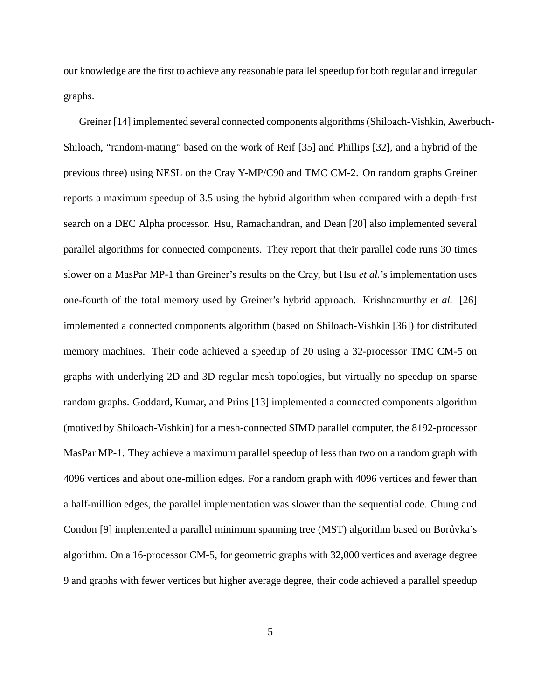our knowledge are the first to achieve any reasonable parallel speedup for both regular and irregular graphs.

Greiner [14] implemented several connected components algorithms (Shiloach-Vishkin, Awerbuch-Shiloach, "random-mating" based on the work of Reif [35] and Phillips [32], and a hybrid of the previous three) using NESL on the Cray Y-MP/C90 and TMC CM-2. On random graphs Greiner reports a maximum speedup of 3.5 using the hybrid algorithm when compared with a depth-first search on a DEC Alpha processor. Hsu, Ramachandran, and Dean [20] also implemented several parallel algorithms for connected components. They report that their parallel code runs 30 times slower on a MasPar MP-1 than Greiner's results on the Cray, but Hsu *et al.*'s implementation uses one-fourth of the total memory used by Greiner's hybrid approach. Krishnamurthy *et al.* [26] implemented a connected components algorithm (based on Shiloach-Vishkin [36]) for distributed memory machines. Their code achieved a speedup of 20 using a 32-processor TMC CM-5 on graphs with underlying 2D and 3D regular mesh topologies, but virtually no speedup on sparse random graphs. Goddard, Kumar, and Prins [13] implemented a connected components algorithm (motived by Shiloach-Vishkin) for a mesh-connected SIMD parallel computer, the 8192-processor MasPar MP-1. They achieve a maximum parallel speedup of less than two on a random graph with 4096 vertices and about one-million edges. For a random graph with 4096 vertices and fewer than a half-million edges, the parallel implementation was slower than the sequential code. Chung and Condon [9] implemented a parallel minimum spanning tree (MST) algorithm based on Borůvka's algorithm. On a 16-processor CM-5, for geometric graphs with 32,000 vertices and average degree 9 and graphs with fewer vertices but higher average degree, their code achieved a parallel speedup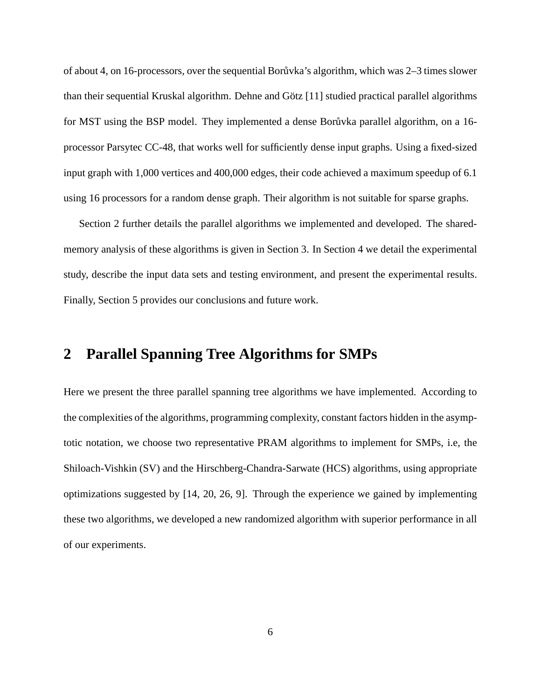of about 4, on 16-processors, over the sequential Borůvka's algorithm, which was 2–3 times slower than their sequential Kruskal algorithm. Dehne and Götz [11] studied practical parallel algorithms for MST using the BSP model. They implemented a dense Borůvka parallel algorithm, on a 16processor Parsytec CC-48, that works well for sufficiently dense input graphs. Using a fixed-sized input graph with 1,000 vertices and 400,000 edges, their code achieved a maximum speedup of 6.1 using 16 processors for a random dense graph. Their algorithm is not suitable for sparse graphs.

Section 2 further details the parallel algorithms we implemented and developed. The sharedmemory analysis of these algorithms is given in Section 3. In Section 4 we detail the experimental study, describe the input data sets and testing environment, and present the experimental results. Finally, Section 5 provides our conclusions and future work.

## **2 Parallel Spanning Tree Algorithms for SMPs**

Here we present the three parallel spanning tree algorithms we have implemented. According to the complexities of the algorithms, programming complexity, constant factors hidden in the asymptotic notation, we choose two representative PRAM algorithms to implement for SMPs, i.e, the Shiloach-Vishkin (SV) and the Hirschberg-Chandra-Sarwate (HCS) algorithms, using appropriate optimizations suggested by [14, 20, 26, 9]. Through the experience we gained by implementing these two algorithms, we developed a new randomized algorithm with superior performance in all of our experiments.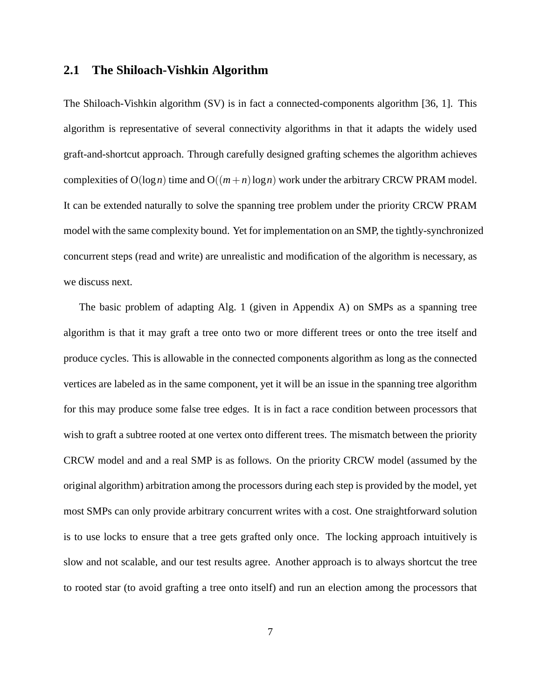#### **2.1 The Shiloach-Vishkin Algorithm**

The Shiloach-Vishkin algorithm (SV) is in fact a connected-components algorithm [36, 1]. This algorithm is representative of several connectivity algorithms in that it adapts the widely used graft-and-shortcut approach. Through carefully designed grafting schemes the algorithm achieves complexities of  $O(log n)$  time and  $O((m+n)log n)$  work under the arbitrary CRCW PRAM model. It can be extended naturally to solve the spanning tree problem under the priority CRCW PRAM model with the same complexity bound. Yet for implementation on an SMP, the tightly-synchronized concurrent steps (read and write) are unrealistic and modification of the algorithm is necessary, as we discuss next.

The basic problem of adapting Alg. 1 (given in Appendix A) on SMPs as a spanning tree algorithm is that it may graft a tree onto two or more different trees or onto the tree itself and produce cycles. This is allowable in the connected components algorithm as long as the connected vertices are labeled as in the same component, yet it will be an issue in the spanning tree algorithm for this may produce some false tree edges. It is in fact a race condition between processors that wish to graft a subtree rooted at one vertex onto different trees. The mismatch between the priority CRCW model and and a real SMP is as follows. On the priority CRCW model (assumed by the original algorithm) arbitration among the processors during each step is provided by the model, yet most SMPs can only provide arbitrary concurrent writes with a cost. One straightforward solution is to use locks to ensure that a tree gets grafted only once. The locking approach intuitively is slow and not scalable, and our test results agree. Another approach is to always shortcut the tree to rooted star (to avoid grafting a tree onto itself) and run an election among the processors that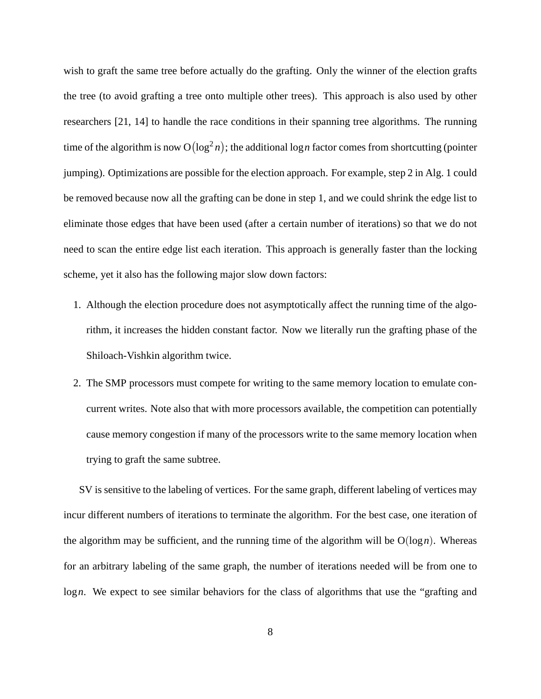wish to graft the same tree before actually do the grafting. Only the winner of the election grafts the tree (to avoid grafting a tree onto multiple other trees). This approach is also used by other researchers [21, 14] to handle the race conditions in their spanning tree algorithms. The running time of the algorithm is now  $O(log^2 n)$ ; the additional log *n* factor comes from shortcutting (pointer jumping). Optimizations are possible for the election approach. For example, step 2 in Alg. 1 could be removed because now all the grafting can be done in step 1, and we could shrink the edge list to eliminate those edges that have been used (after a certain number of iterations) so that we do not need to scan the entire edge list each iteration. This approach is generally faster than the locking scheme, yet it also has the following major slow down factors:

- 1. Although the election procedure does not asymptotically affect the running time of the algorithm, it increases the hidden constant factor. Now we literally run the grafting phase of the Shiloach-Vishkin algorithm twice.
- 2. The SMP processors must compete for writing to the same memory location to emulate concurrent writes. Note also that with more processors available, the competition can potentially cause memory congestion if many of the processors write to the same memory location when trying to graft the same subtree.

SV is sensitive to the labeling of vertices. For the same graph, different labeling of vertices may incur different numbers of iterations to terminate the algorithm. For the best case, one iteration of the algorithm may be sufficient, and the running time of the algorithm will be  $O(log n)$ . Whereas for an arbitrary labeling of the same graph, the number of iterations needed will be from one to logn. We expect to see similar behaviors for the class of algorithms that use the "grafting and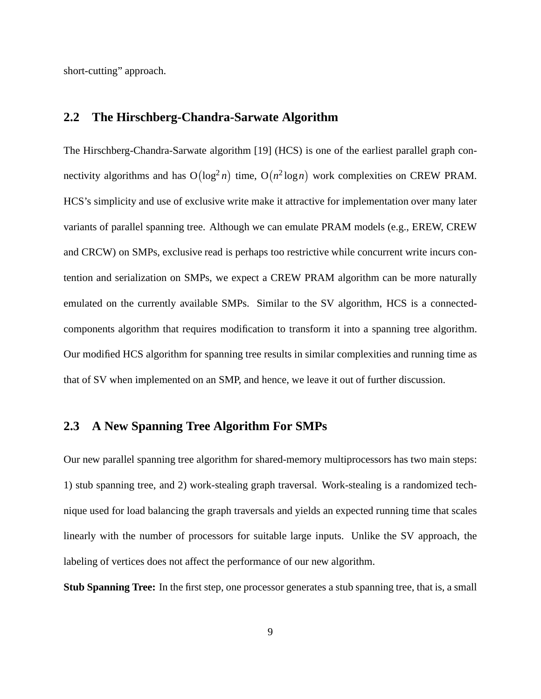short-cutting" approach.

#### **2.2 The Hirschberg-Chandra-Sarwate Algorithm**

The Hirschberg-Chandra-Sarwate algorithm [19] (HCS) is one of the earliest parallel graph connectivity algorithms and has  $O(log^2 n)$  time,  $O(n^2 log n)$  work complexities on CREW PRAM. HCS's simplicity and use of exclusive write make it attractive for implementation over many later variants of parallel spanning tree. Although we can emulate PRAM models (e.g., EREW, CREW and CRCW) on SMPs, exclusive read is perhaps too restrictive while concurrent write incurs contention and serialization on SMPs, we expect a CREW PRAM algorithm can be more naturally emulated on the currently available SMPs. Similar to the SV algorithm, HCS is a connectedcomponents algorithm that requires modification to transform it into a spanning tree algorithm. Our modified HCS algorithm for spanning tree results in similar complexities and running time as that of SV when implemented on an SMP, and hence, we leave it out of further discussion.

#### **2.3 A New Spanning Tree Algorithm For SMPs**

Our new parallel spanning tree algorithm for shared-memory multiprocessors has two main steps: 1) stub spanning tree, and 2) work-stealing graph traversal. Work-stealing is a randomized technique used for load balancing the graph traversals and yields an expected running time that scales linearly with the number of processors for suitable large inputs. Unlike the SV approach, the labeling of vertices does not affect the performance of our new algorithm.

**Stub Spanning Tree:** In the first step, one processor generates a stub spanning tree, that is, a small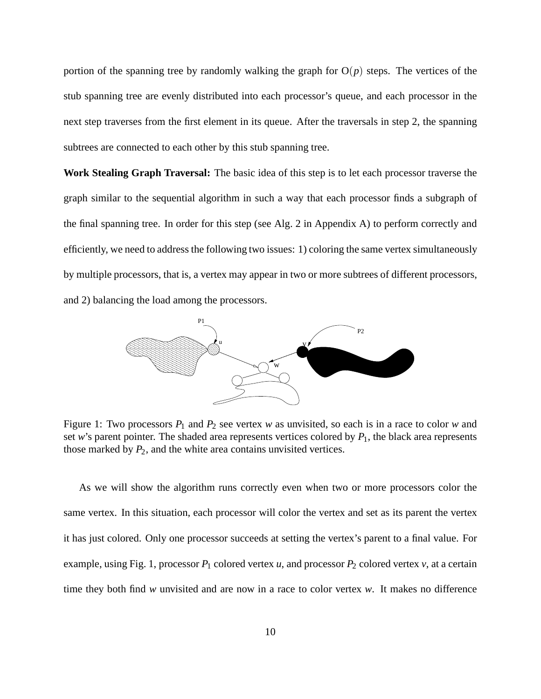portion of the spanning tree by randomly walking the graph for  $O(p)$  steps. The vertices of the stub spanning tree are evenly distributed into each processor's queue, and each processor in the next step traverses from the first element in its queue. After the traversals in step 2, the spanning subtrees are connected to each other by this stub spanning tree.

**Work Stealing Graph Traversal:** The basic idea of this step is to let each processor traverse the graph similar to the sequential algorithm in such a way that each processor finds a subgraph of the final spanning tree. In order for this step (see Alg. 2 in Appendix A) to perform correctly and efficiently, we need to address the following two issues: 1) coloring the same vertex simultaneously by multiple processors, that is, a vertex may appear in two or more subtrees of different processors, and 2) balancing the load among the processors.



Figure 1: Two processors  $P_1$  and  $P_2$  see vertex *w* as unvisited, so each is in a race to color *w* and set *w*'s parent pointer. The shaded area represents vertices colored by *P*1, the black area represents those marked by  $P_2$ , and the white area contains unvisited vertices.

As we will show the algorithm runs correctly even when two or more processors color the same vertex. In this situation, each processor will color the vertex and set as its parent the vertex it has just colored. Only one processor succeeds at setting the vertex's parent to a final value. For example, using Fig. 1, processor  $P_1$  colored vertex *u*, and processor  $P_2$  colored vertex *v*, at a certain time they both find *w* unvisited and are now in a race to color vertex *w*. It makes no difference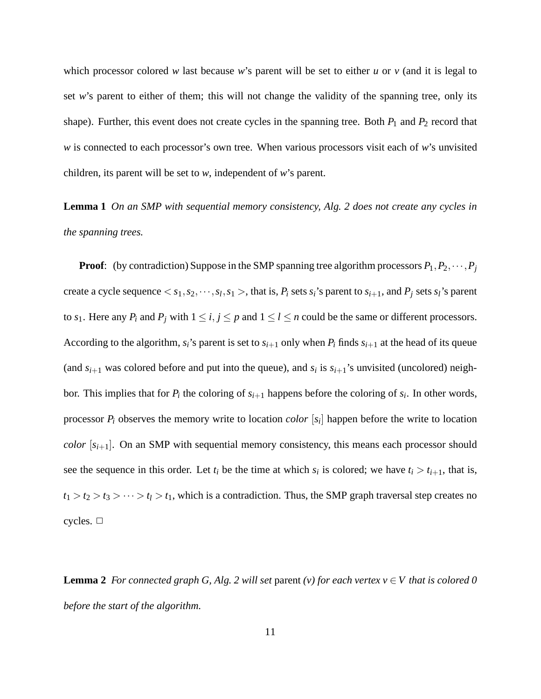which processor colored *w* last because *w*'s parent will be set to either *u* or *v* (and it is legal to set *w*'s parent to either of them; this will not change the validity of the spanning tree, only its shape). Further, this event does not create cycles in the spanning tree. Both  $P_1$  and  $P_2$  record that *w* is connected to each processor's own tree. When various processors visit each of *w*'s unvisited children, its parent will be set to *w*, independent of *w*'s parent.

**Lemma 1** *On an SMP with sequential memory consistency, Alg. 2 does not create any cycles in the spanning trees.*

**Proof:** (by contradiction) Suppose in the SMP spanning tree algorithm processors  $P_1, P_2, \dots, P_j$ create a cycle sequence  $\langle s_1, s_2, \dots, s_l, s_1 \rangle$ , that is,  $P_i$  sets  $s_i$ 's parent to  $s_{i+1}$ , and  $P_j$  sets  $s_l$ 's parent to  $s_1$ . Here any  $P_i$  and  $P_j$  with  $1 \le i, j \le p$  and  $1 \le l \le n$  could be the same or different processors. According to the algorithm,  $s_i$ 's parent is set to  $s_{i+1}$  only when  $P_i$  finds  $s_{i+1}$  at the head of its queue (and  $s_{i+1}$  was colored before and put into the queue), and  $s_i$  is  $s_{i+1}$ 's unvisited (uncolored) neighbor. This implies that for  $P_i$  the coloring of  $s_{i+1}$  happens before the coloring of  $s_i$ . In other words, processor *Pi* observes the memory write to location *color* [*si*] happen before the write to location *color*  $[s_{i+1}]$ . On an SMP with sequential memory consistency, this means each processor should see the sequence in this order. Let  $t_i$  be the time at which  $s_i$  is colored; we have  $t_i > t_{i+1}$ , that is,  $t_1 > t_2 > t_3 > \cdots > t_l > t_1$ , which is a contradiction. Thus, the SMP graph traversal step creates no cycles.  $\Box$ 

**Lemma 2** *For connected graph G, Alg. 2 will set* parent *(v) for each vertex v*  $\in$  *V that is colored 0 before the start of the algorithm.*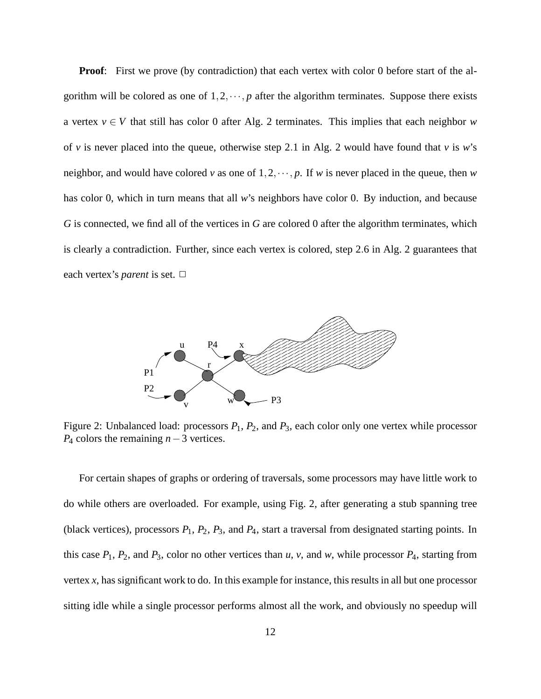**Proof:** First we prove (by contradiction) that each vertex with color 0 before start of the algorithm will be colored as one of  $1, 2, \dots, p$  after the algorithm terminates. Suppose there exists a vertex  $v \in V$  that still has color 0 after Alg. 2 terminates. This implies that each neighbor *w* of *v* is never placed into the queue, otherwise step 2.1 in Alg. 2 would have found that *v* is *w*'s neighbor, and would have colored *v* as one of  $1, 2, \dots, p$ . If *w* is never placed in the queue, then *w* has color 0, which in turn means that all *w*'s neighbors have color 0. By induction, and because *G* is connected, we find all of the vertices in *G* are colored 0 after the algorithm terminates, which is clearly a contradiction. Further, since each vertex is colored, step 2.6 in Alg. 2 guarantees that each vertex's *parent* is set.  $\Box$ 



Figure 2: Unbalanced load: processors *P*1, *P*2, and *P*3, each color only one vertex while processor *P*<sub>4</sub> colors the remaining *n* − 3 vertices.

For certain shapes of graphs or ordering of traversals, some processors may have little work to do while others are overloaded. For example, using Fig. 2, after generating a stub spanning tree (black vertices), processors *P*1, *P*2, *P*3, and *P*4, start a traversal from designated starting points. In this case  $P_1$ ,  $P_2$ , and  $P_3$ , color no other vertices than *u*, *v*, and *w*, while processor  $P_4$ , starting from vertex *x*, has significant work to do. In this example for instance, this results in all but one processor sitting idle while a single processor performs almost all the work, and obviously no speedup will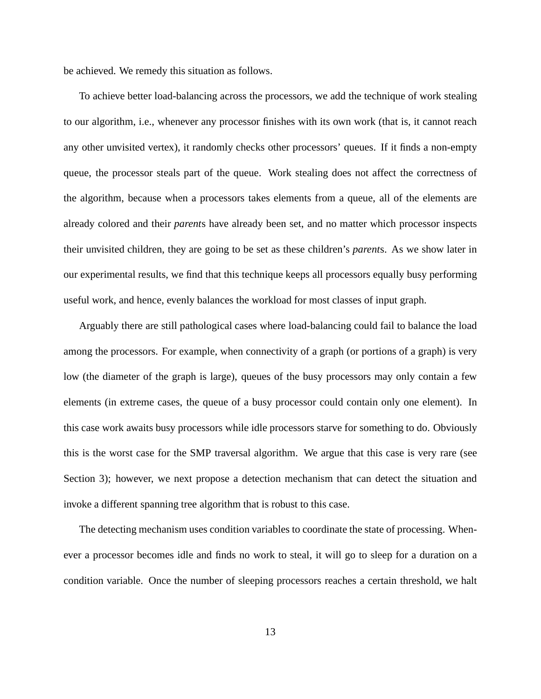be achieved. We remedy this situation as follows.

To achieve better load-balancing across the processors, we add the technique of work stealing to our algorithm, i.e., whenever any processor finishes with its own work (that is, it cannot reach any other unvisited vertex), it randomly checks other processors' queues. If it finds a non-empty queue, the processor steals part of the queue. Work stealing does not affect the correctness of the algorithm, because when a processors takes elements from a queue, all of the elements are already colored and their *parent*s have already been set, and no matter which processor inspects their unvisited children, they are going to be set as these children's *parent*s. As we show later in our experimental results, we find that this technique keeps all processors equally busy performing useful work, and hence, evenly balances the workload for most classes of input graph.

Arguably there are still pathological cases where load-balancing could fail to balance the load among the processors. For example, when connectivity of a graph (or portions of a graph) is very low (the diameter of the graph is large), queues of the busy processors may only contain a few elements (in extreme cases, the queue of a busy processor could contain only one element). In this case work awaits busy processors while idle processors starve for something to do. Obviously this is the worst case for the SMP traversal algorithm. We argue that this case is very rare (see Section 3); however, we next propose a detection mechanism that can detect the situation and invoke a different spanning tree algorithm that is robust to this case.

The detecting mechanism uses condition variables to coordinate the state of processing. Whenever a processor becomes idle and finds no work to steal, it will go to sleep for a duration on a condition variable. Once the number of sleeping processors reaches a certain threshold, we halt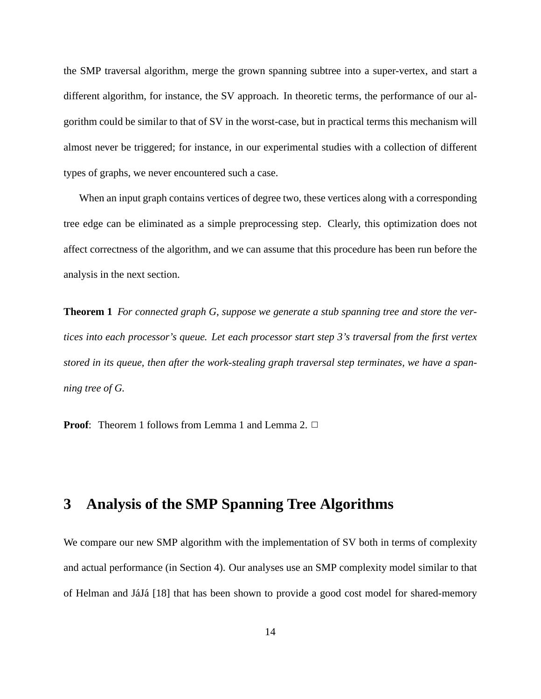the SMP traversal algorithm, merge the grown spanning subtree into a super-vertex, and start a different algorithm, for instance, the SV approach. In theoretic terms, the performance of our algorithm could be similar to that of SV in the worst-case, but in practical terms this mechanism will almost never be triggered; for instance, in our experimental studies with a collection of different types of graphs, we never encountered such a case.

When an input graph contains vertices of degree two, these vertices along with a corresponding tree edge can be eliminated as a simple preprocessing step. Clearly, this optimization does not affect correctness of the algorithm, and we can assume that this procedure has been run before the analysis in the next section.

**Theorem 1** *For connected graph G, suppose we generate a stub spanning tree and store the vertices into each processor's queue. Let each processor start step 3's traversal from the first vertex stored in its queue, then after the work-stealing graph traversal step terminates, we have a spanning tree of G.*

**Proof**: Theorem 1 follows from Lemma 1 and Lemma 2. □

## **3 Analysis of the SMP Spanning Tree Algorithms**

We compare our new SMP algorithm with the implementation of SV both in terms of complexity and actual performance (in Section 4). Our analyses use an SMP complexity model similar to that of Helman and JáJá [18] that has been shown to provide a good cost model for shared-memory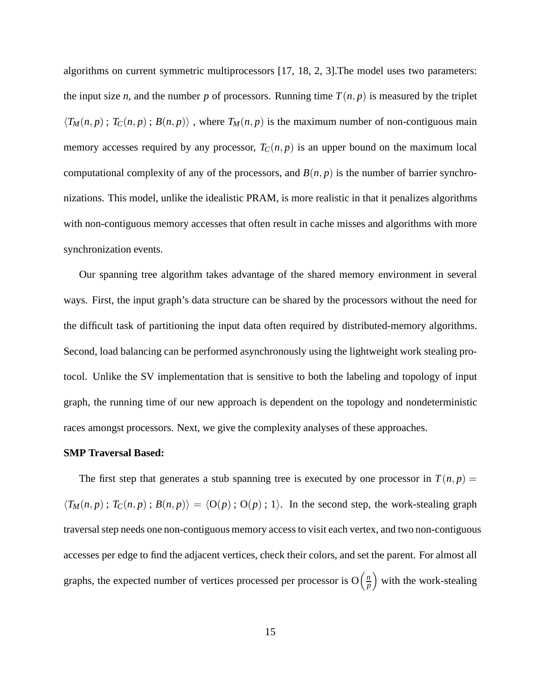algorithms on current symmetric multiprocessors [17, 18, 2, 3].The model uses two parameters: the input size *n*, and the number *p* of processors. Running time  $T(n, p)$  is measured by the triplet  $\langle T_M(n,p) : T_C(n,p) : B(n,p) \rangle$ , where  $T_M(n,p)$  is the maximum number of non-contiguous main memory accesses required by any processor,  $T_c(n, p)$  is an upper bound on the maximum local computational complexity of any of the processors, and  $B(n, p)$  is the number of barrier synchronizations. This model, unlike the idealistic PRAM, is more realistic in that it penalizes algorithms with non-contiguous memory accesses that often result in cache misses and algorithms with more synchronization events.

Our spanning tree algorithm takes advantage of the shared memory environment in several ways. First, the input graph's data structure can be shared by the processors without the need for the difficult task of partitioning the input data often required by distributed-memory algorithms. Second, load balancing can be performed asynchronously using the lightweight work stealing protocol. Unlike the SV implementation that is sensitive to both the labeling and topology of input graph, the running time of our new approach is dependent on the topology and nondeterministic races amongst processors. Next, we give the complexity analyses of these approaches.

#### **SMP Traversal Based:**

The first step that generates a stub spanning tree is executed by one processor in  $T(n, p)$  =  $\langle T_M(n,p) : T_C(n,p) : B(n,p) \rangle = \langle O(p) : O(p) : 1 \rangle$ . In the second step, the work-stealing graph traversal step needs one non-contiguous memory access to visit each vertex, and two non-contiguous accesses per edge to find the adjacent vertices, check their colors, and set the parent. For almost all graphs, the expected number of vertices processed per processor is  $O\left(\frac{n}{n}\right)$  $\left(\frac{p}{p}\right)$  with the work-stealing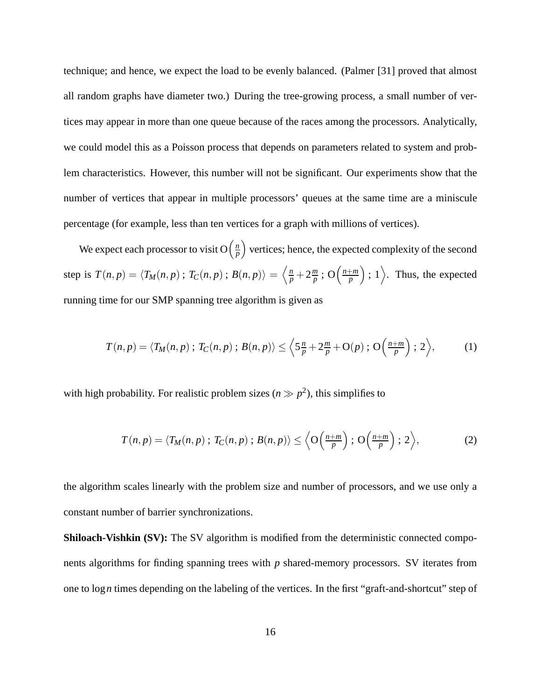technique; and hence, we expect the load to be evenly balanced. (Palmer [31] proved that almost all random graphs have diameter two.) During the tree-growing process, a small number of vertices may appear in more than one queue because of the races among the processors. Analytically, we could model this as a Poisson process that depends on parameters related to system and problem characteristics. However, this number will not be significant. Our experiments show that the number of vertices that appear in multiple processors' queues at the same time are a miniscule percentage (for example, less than ten vertices for a graph with millions of vertices).

We expect each processor to visit  $O\left(\frac{n}{n}\right)$  $\left(\frac{n}{p}\right)$  vertices; hence, the expected complexity of the second step is  $T(n,p) = \langle T_M(n,p) ; T_C(n,p) ; B(n,p) \rangle = \left\langle \frac{n}{p} + 2\frac{m}{p} ; O\left(\frac{n+m}{p}\right) \right\rangle$  $\left(\frac{pm}{p}\right)$ ; 1). Thus, the expected running time for our SMP spanning tree algorithm is given as

$$
T(n,p) = \langle T_M(n,p) ; T_C(n,p) ; B(n,p) \rangle \le \left\langle 5\frac{n}{p} + 2\frac{m}{p} + O(p) ; O\left(\frac{n+m}{p}\right) ; 2 \right\rangle, \tag{1}
$$

with high probability. For realistic problem sizes  $(n \gg p^2)$ , this simplifies to

$$
T(n,p) = \langle T_M(n,p) ; T_C(n,p) ; B(n,p) \rangle \leq \left\langle O\left(\frac{n+m}{p}\right) ; O\left(\frac{n+m}{p}\right) ; 2 \right\rangle, \tag{2}
$$

the algorithm scales linearly with the problem size and number of processors, and we use only a constant number of barrier synchronizations.

**Shiloach-Vishkin (SV):** The SV algorithm is modified from the deterministic connected components algorithms for finding spanning trees with *p* shared-memory processors. SV iterates from one to log*n* times depending on the labeling of the vertices. In the first "graft-and-shortcut" step of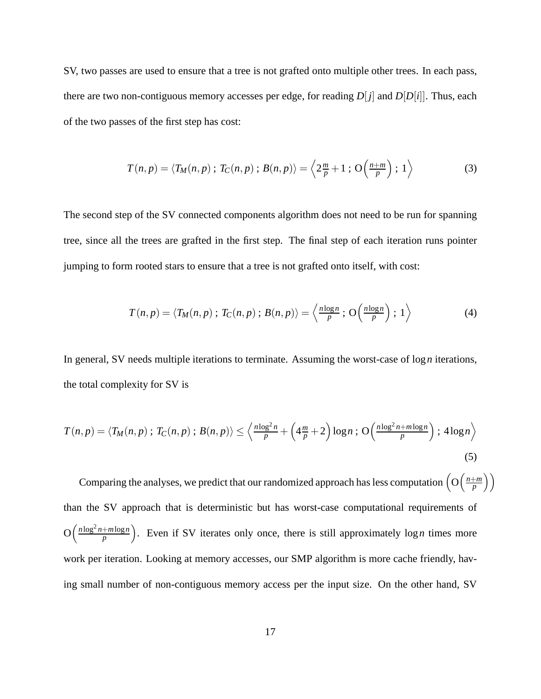SV, two passes are used to ensure that a tree is not grafted onto multiple other trees. In each pass, there are two non-contiguous memory accesses per edge, for reading  $D[j]$  and  $D[D[i]]$ . Thus, each of the two passes of the first step has cost:

$$
T(n,p) = \langle T_M(n,p) ; T_C(n,p) ; B(n,p) \rangle = \langle 2\frac{m}{p} + 1 ; O\left(\frac{n+m}{p}\right) ; 1 \rangle \tag{3}
$$

The second step of the SV connected components algorithm does not need to be run for spanning tree, since all the trees are grafted in the first step. The final step of each iteration runs pointer jumping to form rooted stars to ensure that a tree is not grafted onto itself, with cost:

$$
T(n,p) = \langle T_M(n,p) \, ; \, T_C(n,p) \, ; \, B(n,p) \rangle = \left\langle \frac{n \log n}{p} \, ; \, O\left(\frac{n \log n}{p}\right) \, ; \, 1 \right\rangle \tag{4}
$$

In general, SV needs multiple iterations to terminate. Assuming the worst-case of log*n* iterations, the total complexity for SV is

$$
T(n,p) = \langle T_M(n,p) ; T_C(n,p) ; B(n,p) \rangle \le \left\langle \frac{n \log^2 n}{p} + \left(4\frac{m}{p} + 2\right) \log n ; O\left(\frac{n \log^2 n + m \log n}{p}\right) ; 4 \log n \right\rangle
$$
\n(5)

Comparing the analyses, we predict that our randomized approach has less computation  $\left( O\left(\frac{n+m}{n}\right)\right)$  $\binom{+m}{p}$ than the SV approach that is deterministic but has worst-case computational requirements of  $O\left(\frac{n\log^2 n + m\log n}{p}\right)$ . Even if SV iterates only once, there is still approximately log*n* times more work per iteration. Looking at memory accesses, our SMP algorithm is more cache friendly, having small number of non-contiguous memory access per the input size. On the other hand, SV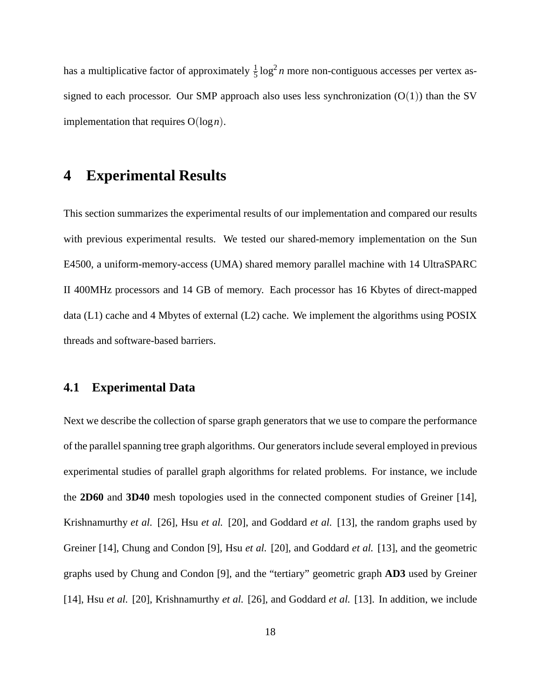has a multiplicative factor of approximately  $\frac{1}{5} \log^2 n$  more non-contiguous accesses per vertex assigned to each processor. Our SMP approach also uses less synchronization  $(O(1))$  than the SV implementation that requires O(log*n*).

## **4 Experimental Results**

This section summarizes the experimental results of our implementation and compared our results with previous experimental results. We tested our shared-memory implementation on the Sun E4500, a uniform-memory-access (UMA) shared memory parallel machine with 14 UltraSPARC II 400MHz processors and 14 GB of memory. Each processor has 16 Kbytes of direct-mapped data (L1) cache and 4 Mbytes of external (L2) cache. We implement the algorithms using POSIX threads and software-based barriers.

#### **4.1 Experimental Data**

Next we describe the collection of sparse graph generators that we use to compare the performance of the parallel spanning tree graph algorithms. Our generators include several employed in previous experimental studies of parallel graph algorithms for related problems. For instance, we include the **2D60** and **3D40** mesh topologies used in the connected component studies of Greiner [14], Krishnamurthy *et al.* [26], Hsu *et al.* [20], and Goddard *et al.* [13], the random graphs used by Greiner [14], Chung and Condon [9], Hsu *et al.* [20], and Goddard *et al.* [13], and the geometric graphs used by Chung and Condon [9], and the "tertiary" geometric graph **AD3** used by Greiner [14], Hsu *et al.* [20], Krishnamurthy *et al.* [26], and Goddard *et al.* [13]. In addition, we include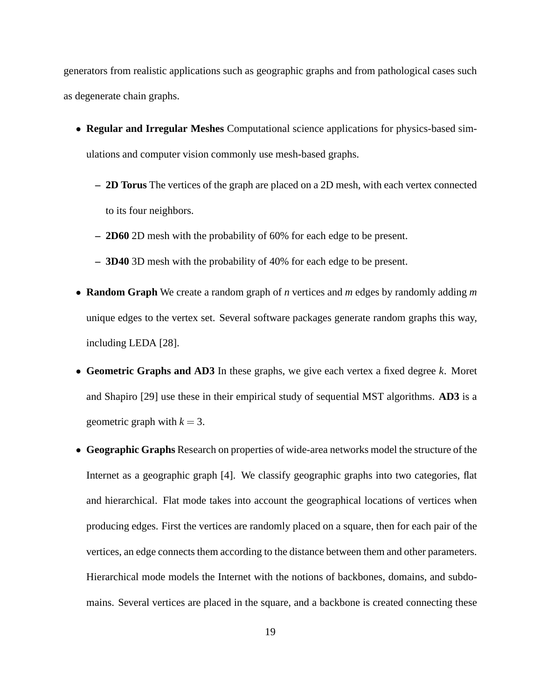generators from realistic applications such as geographic graphs and from pathological cases such as degenerate chain graphs.

- **Regular and Irregular Meshes** Computational science applications for physics-based simulations and computer vision commonly use mesh-based graphs.
	- **2D Torus** The vertices of the graph are placed on a 2D mesh, with each vertex connected to its four neighbors.
	- **2D60** 2D mesh with the probability of 60% for each edge to be present.
	- **3D40** 3D mesh with the probability of 40% for each edge to be present.
- **Random Graph** We create a random graph of *n* vertices and *m* edges by randomly adding *m* unique edges to the vertex set. Several software packages generate random graphs this way, including LEDA [28].
- **Geometric Graphs and AD3** In these graphs, we give each vertex a fixed degree *k*. Moret and Shapiro [29] use these in their empirical study of sequential MST algorithms. **AD3** is a geometric graph with  $k = 3$ .
- **Geographic Graphs** Research on properties of wide-area networks model the structure of the Internet as a geographic graph [4]. We classify geographic graphs into two categories, flat and hierarchical. Flat mode takes into account the geographical locations of vertices when producing edges. First the vertices are randomly placed on a square, then for each pair of the vertices, an edge connects them according to the distance between them and other parameters. Hierarchical mode models the Internet with the notions of backbones, domains, and subdomains. Several vertices are placed in the square, and a backbone is created connecting these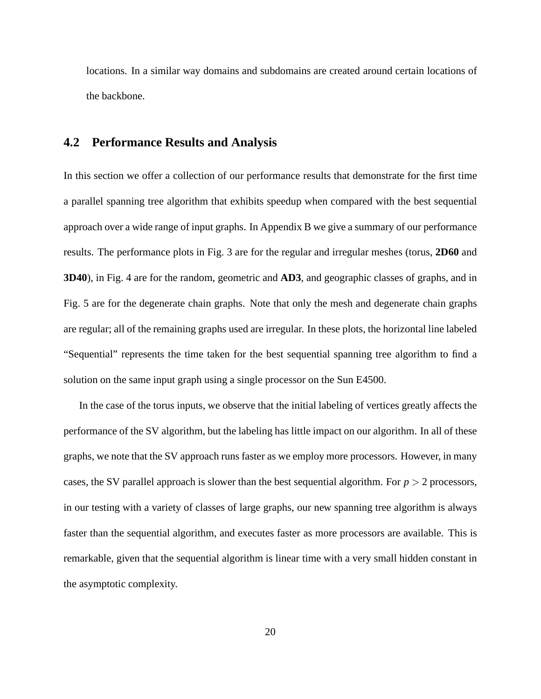locations. In a similar way domains and subdomains are created around certain locations of the backbone.

#### **4.2 Performance Results and Analysis**

In this section we offer a collection of our performance results that demonstrate for the first time a parallel spanning tree algorithm that exhibits speedup when compared with the best sequential approach over a wide range of input graphs. In Appendix B we give a summary of our performance results. The performance plots in Fig. 3 are for the regular and irregular meshes (torus, **2D60** and **3D40**), in Fig. 4 are for the random, geometric and **AD3**, and geographic classes of graphs, and in Fig. 5 are for the degenerate chain graphs. Note that only the mesh and degenerate chain graphs are regular; all of the remaining graphs used are irregular. In these plots, the horizontal line labeled "Sequential" represents the time taken for the best sequential spanning tree algorithm to find a solution on the same input graph using a single processor on the Sun E4500.

In the case of the torus inputs, we observe that the initial labeling of vertices greatly affects the performance of the SV algorithm, but the labeling has little impact on our algorithm. In all of these graphs, we note that the SV approach runs faster as we employ more processors. However, in many cases, the SV parallel approach is slower than the best sequential algorithm. For  $p > 2$  processors, in our testing with a variety of classes of large graphs, our new spanning tree algorithm is always faster than the sequential algorithm, and executes faster as more processors are available. This is remarkable, given that the sequential algorithm is linear time with a very small hidden constant in the asymptotic complexity.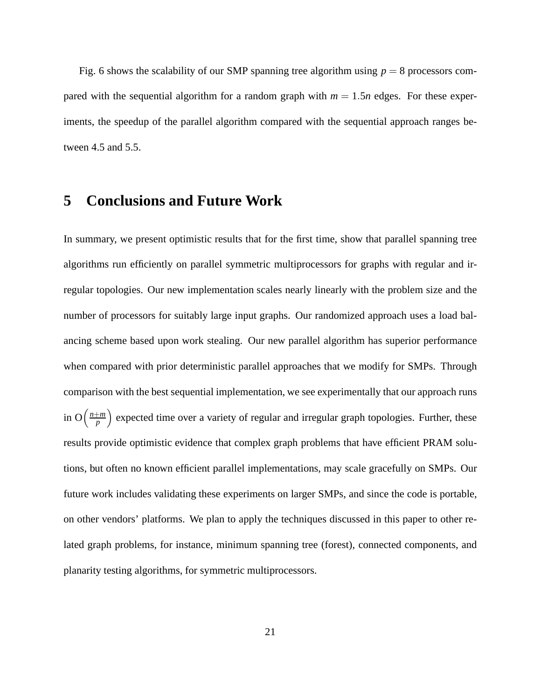Fig. 6 shows the scalability of our SMP spanning tree algorithm using  $p = 8$  processors compared with the sequential algorithm for a random graph with  $m = 1.5n$  edges. For these experiments, the speedup of the parallel algorithm compared with the sequential approach ranges between 4.5 and 5.5.

## **5 Conclusions and Future Work**

In summary, we present optimistic results that for the first time, show that parallel spanning tree algorithms run efficiently on parallel symmetric multiprocessors for graphs with regular and irregular topologies. Our new implementation scales nearly linearly with the problem size and the number of processors for suitably large input graphs. Our randomized approach uses a load balancing scheme based upon work stealing. Our new parallel algorithm has superior performance when compared with prior deterministic parallel approaches that we modify for SMPs. Through comparison with the best sequential implementation, we see experimentally that our approach runs in O $\left(\frac{n+m}{n}\right)$  $\left(\frac{pm}{p}\right)$  expected time over a variety of regular and irregular graph topologies. Further, these results provide optimistic evidence that complex graph problems that have efficient PRAM solutions, but often no known efficient parallel implementations, may scale gracefully on SMPs. Our future work includes validating these experiments on larger SMPs, and since the code is portable, on other vendors' platforms. We plan to apply the techniques discussed in this paper to other related graph problems, for instance, minimum spanning tree (forest), connected components, and planarity testing algorithms, for symmetric multiprocessors.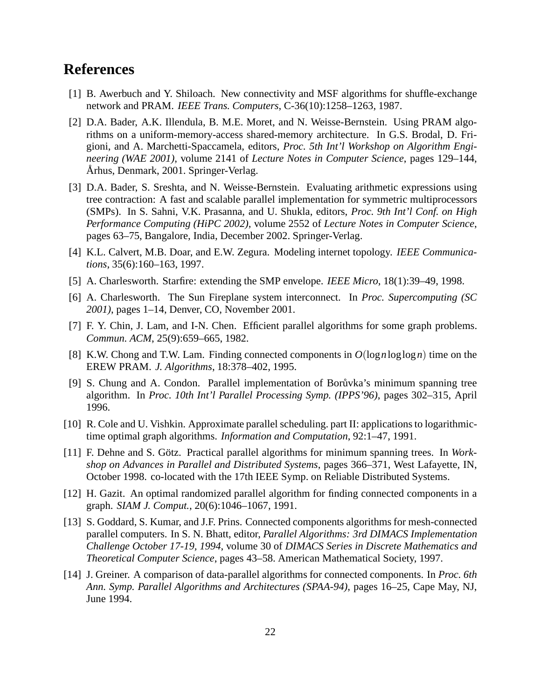## **References**

- [1] B. Awerbuch and Y. Shiloach. New connectivity and MSF algorithms for shuffle-exchange network and PRAM. *IEEE Trans. Computers*, C-36(10):1258–1263, 1987.
- [2] D.A. Bader, A.K. Illendula, B. M.E. Moret, and N. Weisse-Bernstein. Using PRAM algorithms on a uniform-memory-access shared-memory architecture. In G.S. Brodal, D. Frigioni, and A. Marchetti-Spaccamela, editors, *Proc. 5th Int'l Workshop on Algorithm Engineering (WAE 2001)*, volume 2141 of *Lecture Notes in Computer Science*, pages 129–144, Århus, Denmark, 2001. Springer-Verlag.
- [3] D.A. Bader, S. Sreshta, and N. Weisse-Bernstein. Evaluating arithmetic expressions using tree contraction: A fast and scalable parallel implementation for symmetric multiprocessors (SMPs). In S. Sahni, V.K. Prasanna, and U. Shukla, editors, *Proc. 9th Int'l Conf. on High Performance Computing (HiPC 2002)*, volume 2552 of *Lecture Notes in Computer Science*, pages 63–75, Bangalore, India, December 2002. Springer-Verlag.
- [4] K.L. Calvert, M.B. Doar, and E.W. Zegura. Modeling internet topology. *IEEE Communications*, 35(6):160–163, 1997.
- [5] A. Charlesworth. Starfire: extending the SMP envelope. *IEEE Micro*, 18(1):39–49, 1998.
- [6] A. Charlesworth. The Sun Fireplane system interconnect. In *Proc. Supercomputing (SC 2001)*, pages 1–14, Denver, CO, November 2001.
- [7] F. Y. Chin, J. Lam, and I-N. Chen. Efficient parallel algorithms for some graph problems. *Commun. ACM*, 25(9):659–665, 1982.
- [8] K.W. Chong and T.W. Lam. Finding connected components in *O*(log*n*loglog*n*) time on the EREW PRAM. *J. Algorithms*, 18:378–402, 1995.
- [9] S. Chung and A. Condon. Parallel implementation of Borůvka's minimum spanning tree algorithm. In *Proc. 10th Int'l Parallel Processing Symp. (IPPS'96)*, pages 302–315, April 1996.
- [10] R. Cole and U. Vishkin. Approximate parallel scheduling. part II: applications to logarithmictime optimal graph algorithms. *Information and Computation*, 92:1–47, 1991.
- [11] F. Dehne and S. Götz. Practical parallel algorithms for minimum spanning trees. In *Workshop on Advances in Parallel and Distributed Systems*, pages 366–371, West Lafayette, IN, October 1998. co-located with the 17th IEEE Symp. on Reliable Distributed Systems.
- [12] H. Gazit. An optimal randomized parallel algorithm for finding connected components in a graph. *SIAM J. Comput.*, 20(6):1046–1067, 1991.
- [13] S. Goddard, S. Kumar, and J.F. Prins. Connected components algorithms for mesh-connected parallel computers. In S. N. Bhatt, editor, *Parallel Algorithms: 3rd DIMACS Implementation Challenge October 17-19, 1994*, volume 30 of *DIMACS Series in Discrete Mathematics and Theoretical Computer Science*, pages 43–58. American Mathematical Society, 1997.
- [14] J. Greiner. A comparison of data-parallel algorithms for connected components. In *Proc. 6th Ann. Symp. Parallel Algorithms and Architectures (SPAA-94)*, pages 16–25, Cape May, NJ, June 1994.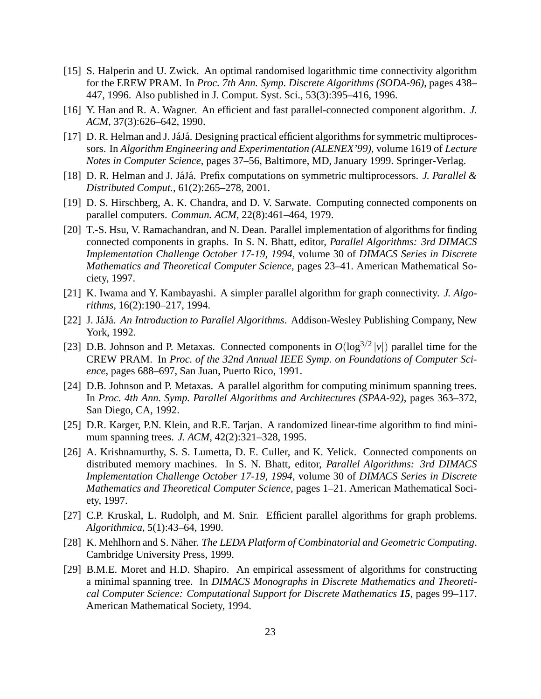- [15] S. Halperin and U. Zwick. An optimal randomised logarithmic time connectivity algorithm for the EREW PRAM. In *Proc. 7th Ann. Symp. Discrete Algorithms (SODA-96)*, pages 438– 447, 1996. Also published in J. Comput. Syst. Sci., 53(3):395–416, 1996.
- [16] Y. Han and R. A. Wagner. An efficient and fast parallel-connected component algorithm. *J. ACM*, 37(3):626–642, 1990.
- [17] D. R. Helman and J. JáJá. Designing practical efficient algorithms for symmetric multiprocessors. In *Algorithm Engineering and Experimentation (ALENEX'99)*, volume 1619 of *Lecture Notes in Computer Science*, pages 37–56, Baltimore, MD, January 1999. Springer-Verlag.
- [18] D. R. Helman and J. J´aJ´a. Prefix computations on symmetric multiprocessors. *J. Parallel & Distributed Comput.*, 61(2):265–278, 2001.
- [19] D. S. Hirschberg, A. K. Chandra, and D. V. Sarwate. Computing connected components on parallel computers. *Commun. ACM*, 22(8):461–464, 1979.
- [20] T.-S. Hsu, V. Ramachandran, and N. Dean. Parallel implementation of algorithms for finding connected components in graphs. In S. N. Bhatt, editor, *Parallel Algorithms: 3rd DIMACS Implementation Challenge October 17-19, 1994*, volume 30 of *DIMACS Series in Discrete Mathematics and Theoretical Computer Science*, pages 23–41. American Mathematical Society, 1997.
- [21] K. Iwama and Y. Kambayashi. A simpler parallel algorithm for graph connectivity. *J. Algorithms*, 16(2):190–217, 1994.
- [22] J. JáJá. *An Introduction to Parallel Algorithms*. Addison-Wesley Publishing Company, New York, 1992.
- [23] D.B. Johnson and P. Metaxas. Connected components in  $O(\log^{3/2}|v|)$  parallel time for the CREW PRAM. In *Proc. of the 32nd Annual IEEE Symp. on Foundations of Computer Science*, pages 688–697, San Juan, Puerto Rico, 1991.
- [24] D.B. Johnson and P. Metaxas. A parallel algorithm for computing minimum spanning trees. In *Proc. 4th Ann. Symp. Parallel Algorithms and Architectures (SPAA-92)*, pages 363–372, San Diego, CA, 1992.
- [25] D.R. Karger, P.N. Klein, and R.E. Tarjan. A randomized linear-time algorithm to find minimum spanning trees. *J. ACM*, 42(2):321–328, 1995.
- [26] A. Krishnamurthy, S. S. Lumetta, D. E. Culler, and K. Yelick. Connected components on distributed memory machines. In S. N. Bhatt, editor, *Parallel Algorithms: 3rd DIMACS Implementation Challenge October 17-19, 1994*, volume 30 of *DIMACS Series in Discrete Mathematics and Theoretical Computer Science*, pages 1–21. American Mathematical Society, 1997.
- [27] C.P. Kruskal, L. Rudolph, and M. Snir. Efficient parallel algorithms for graph problems. *Algorithmica*, 5(1):43–64, 1990.
- [28] K. Mehlhorn and S. Näher. *The LEDA Platform of Combinatorial and Geometric Computing*. Cambridge University Press, 1999.
- [29] B.M.E. Moret and H.D. Shapiro. An empirical assessment of algorithms for constructing a minimal spanning tree. In *DIMACS Monographs in Discrete Mathematics and Theoretical Computer Science: Computational Support for Discrete Mathematics 15*, pages 99–117. American Mathematical Society, 1994.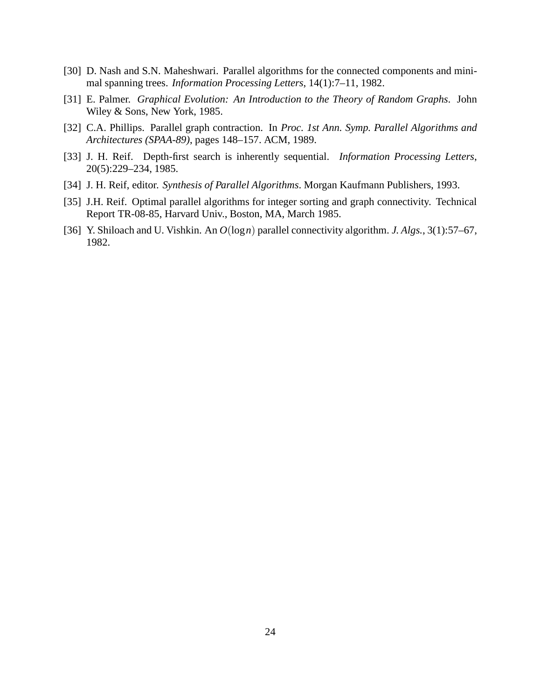- [30] D. Nash and S.N. Maheshwari. Parallel algorithms for the connected components and minimal spanning trees. *Information Processing Letters*, 14(1):7–11, 1982.
- [31] E. Palmer. *Graphical Evolution: An Introduction to the Theory of Random Graphs*. John Wiley & Sons, New York, 1985.
- [32] C.A. Phillips. Parallel graph contraction. In *Proc. 1st Ann. Symp. Parallel Algorithms and Architectures (SPAA-89)*, pages 148–157. ACM, 1989.
- [33] J. H. Reif. Depth-first search is inherently sequential. *Information Processing Letters*, 20(5):229–234, 1985.
- [34] J. H. Reif, editor. *Synthesis of Parallel Algorithms*. Morgan Kaufmann Publishers, 1993.
- [35] J.H. Reif. Optimal parallel algorithms for integer sorting and graph connectivity. Technical Report TR-08-85, Harvard Univ., Boston, MA, March 1985.
- [36] Y. Shiloach and U. Vishkin. An *O*(log*n*) parallel connectivity algorithm. *J. Algs.*, 3(1):57–67, 1982.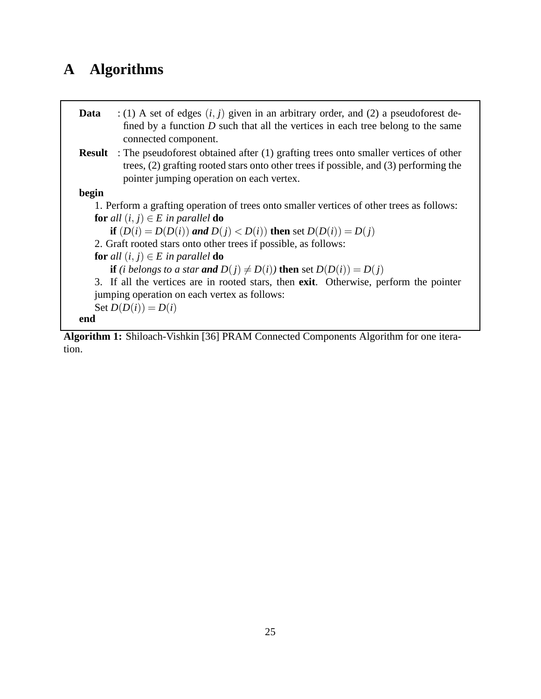# **A Algorithms**

| : (1) A set of edges $(i, j)$ given in an arbitrary order, and (2) a pseudoforest de-<br>Data                                                                                                                   |  |
|-----------------------------------------------------------------------------------------------------------------------------------------------------------------------------------------------------------------|--|
| fined by a function $D$ such that all the vertices in each tree belong to the same<br>connected component.<br><b>Result</b> : The pseudoforest obtained after (1) grafting trees onto smaller vertices of other |  |
| trees, (2) grafting rooted stars onto other trees if possible, and (3) performing the<br>pointer jumping operation on each vertex.                                                                              |  |
| begin                                                                                                                                                                                                           |  |
| 1. Perform a grafting operation of trees onto smaller vertices of other trees as follows:                                                                                                                       |  |
| <b>for</b> all $(i, j) \in E$ in parallel <b>do</b>                                                                                                                                                             |  |
| <b>if</b> $(D(i) = D(D(i))$ and $D(j) < D(i)$ then set $D(D(i)) = D(j)$                                                                                                                                         |  |
| 2. Graft rooted stars onto other trees if possible, as follows:                                                                                                                                                 |  |
| <b>for</b> all $(i, j) \in E$ in parallel <b>do</b>                                                                                                                                                             |  |
| <b>if</b> ( <i>i</i> belongs to a star and $D(j) \neq D(i)$ ) then set $D(D(i)) = D(j)$                                                                                                                         |  |
| 3. If all the vertices are in rooted stars, then exit. Otherwise, perform the pointer                                                                                                                           |  |
| jumping operation on each vertex as follows:                                                                                                                                                                    |  |
| Set $D(D(i)) = D(i)$                                                                                                                                                                                            |  |
| end                                                                                                                                                                                                             |  |

**Algorithm 1:** Shiloach-Vishkin [36] PRAM Connected Components Algorithm for one iteration.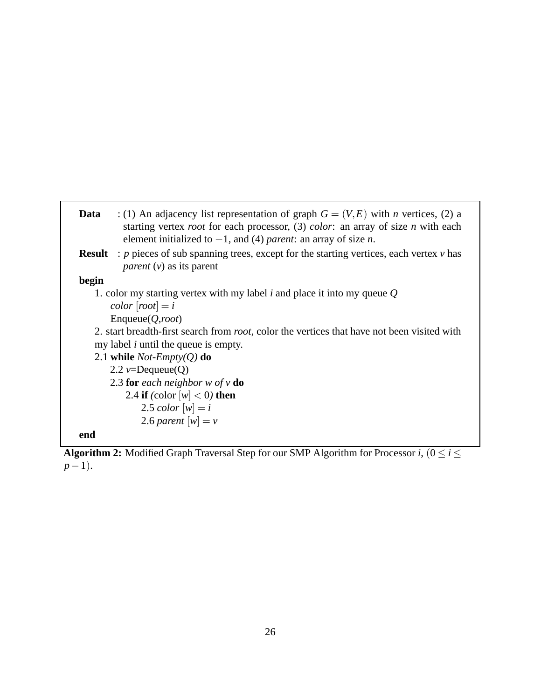| : (1) An adjacency list representation of graph $G = (V, E)$ with <i>n</i> vertices, (2) a<br>Data<br>starting vertex <i>root</i> for each processor, (3) <i>color</i> : an array of size <i>n</i> with each<br>element initialized to $-1$ , and (4) parent: an array of size <i>n</i> . |
|-------------------------------------------------------------------------------------------------------------------------------------------------------------------------------------------------------------------------------------------------------------------------------------------|
| : p pieces of sub spanning trees, except for the starting vertices, each vertex v has<br><b>Result</b>                                                                                                                                                                                    |
| <i>parent</i> $(v)$ as its parent                                                                                                                                                                                                                                                         |
| begin                                                                                                                                                                                                                                                                                     |
| 1. color my starting vertex with my label i and place it into my queue $Q$                                                                                                                                                                                                                |
| $color[root] = i$                                                                                                                                                                                                                                                                         |
| Enqueue $(Q, root)$                                                                                                                                                                                                                                                                       |
| 2. start breadth-first search from <i>root</i> , color the vertices that have not been visited with                                                                                                                                                                                       |
| my label <i>i</i> until the queue is empty.                                                                                                                                                                                                                                               |
| 2.1 while <i>Not-Empty</i> ( $Q$ ) do                                                                                                                                                                                                                                                     |
| 2.2 $v =$ Dequeue $(Q)$                                                                                                                                                                                                                                                                   |
| 2.3 for each neighbor w of $v$ do                                                                                                                                                                                                                                                         |
| 2.4 if (color $[w] < 0$ ) then                                                                                                                                                                                                                                                            |
| 2.5 color $[w] = i$                                                                                                                                                                                                                                                                       |
| 2.6 parent $[w] = v$                                                                                                                                                                                                                                                                      |
| end                                                                                                                                                                                                                                                                                       |

**Algorithm 2:** Modified Graph Traversal Step for our SMP Algorithm for Processor *i*,  $(0 \le i \le n)$ *p*−1).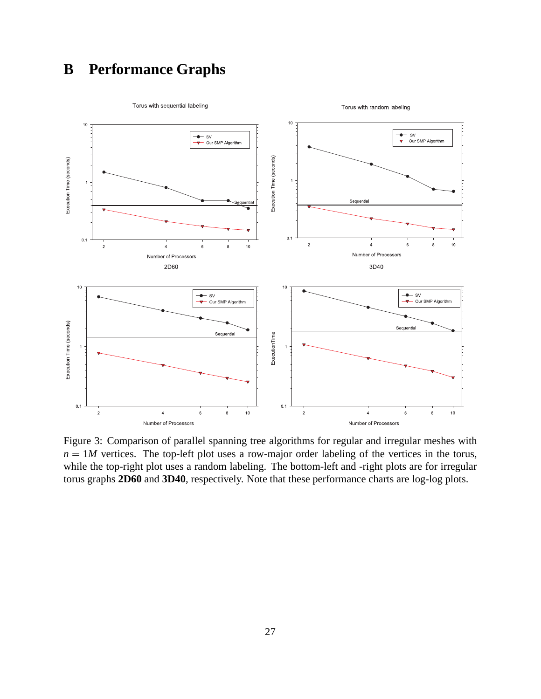## **B Performance Graphs**



Figure 3: Comparison of parallel spanning tree algorithms for regular and irregular meshes with  $n = 1M$  vertices. The top-left plot uses a row-major order labeling of the vertices in the torus, while the top-right plot uses a random labeling. The bottom-left and -right plots are for irregular torus graphs **2D60** and **3D40**, respectively. Note that these performance charts are log-log plots.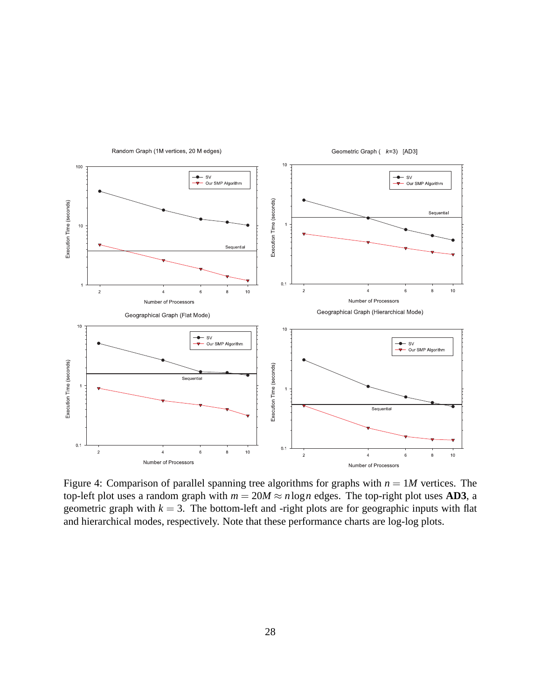

Figure 4: Comparison of parallel spanning tree algorithms for graphs with  $n = 1M$  vertices. The top-left plot uses a random graph with  $m = 20M \approx n \log n$  edges. The top-right plot uses **AD3**, a geometric graph with  $k = 3$ . The bottom-left and -right plots are for geographic inputs with flat and hierarchical modes, respectively. Note that these performance charts are log-log plots.